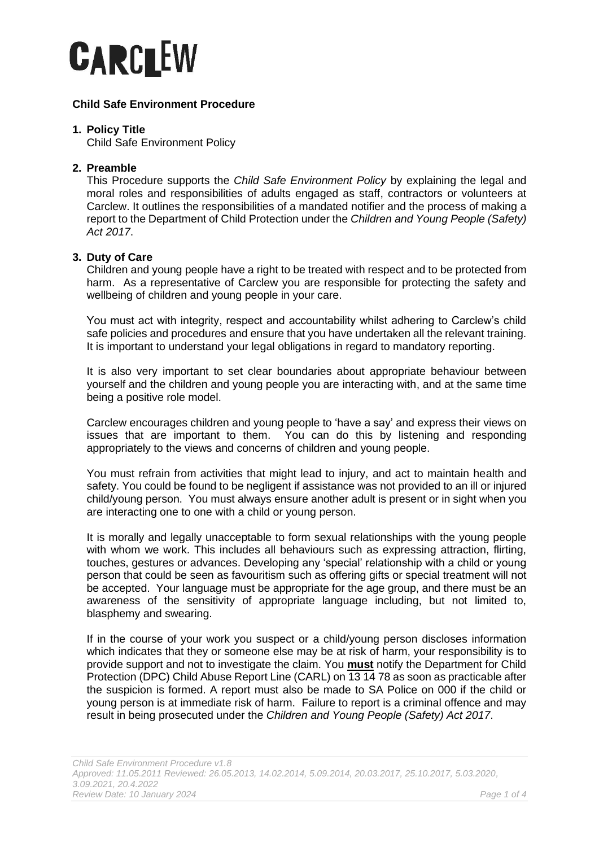# **CARCLEW**

# **Child Safe Environment Procedure**

# **1. Policy Title**

Child Safe Environment Policy

# **2. Preamble**

This Procedure supports the *Child Safe Environment Policy* by explaining the legal and moral roles and responsibilities of adults engaged as staff, contractors or volunteers at Carclew. It outlines the responsibilities of a mandated notifier and the process of making a report to the Department of Child Protection under the *Children and Young People (Safety) Act 2017*.

# **3. Duty of Care**

Children and young people have a right to be treated with respect and to be protected from harm. As a representative of Carclew you are responsible for protecting the safety and wellbeing of children and young people in your care.

You must act with integrity, respect and accountability whilst adhering to Carclew's child safe policies and procedures and ensure that you have undertaken all the relevant training. It is important to understand your legal obligations in regard to mandatory reporting.

It is also very important to set clear boundaries about appropriate behaviour between yourself and the children and young people you are interacting with, and at the same time being a positive role model.

Carclew encourages children and young people to 'have a say' and express their views on issues that are important to them. You can do this by listening and responding appropriately to the views and concerns of children and young people.

You must refrain from activities that might lead to injury, and act to maintain health and safety. You could be found to be negligent if assistance was not provided to an ill or injured child/young person. You must always ensure another adult is present or in sight when you are interacting one to one with a child or young person.

It is morally and legally unacceptable to form sexual relationships with the young people with whom we work. This includes all behaviours such as expressing attraction, flirting, touches, gestures or advances. Developing any 'special' relationship with a child or young person that could be seen as favouritism such as offering gifts or special treatment will not be accepted. Your language must be appropriate for the age group, and there must be an awareness of the sensitivity of appropriate language including, but not limited to, blasphemy and swearing.

If in the course of your work you suspect or a child/young person discloses information which indicates that they or someone else may be at risk of harm, your responsibility is to provide support and not to investigate the claim. You **must** notify the Department for Child Protection (DPC) Child Abuse Report Line (CARL) on 13 14 78 as soon as practicable after the suspicion is formed. A report must also be made to SA Police on 000 if the child or young person is at immediate risk of harm. Failure to report is a criminal offence and may result in being prosecuted under the *Children and Young People (Safety) Act 2017*.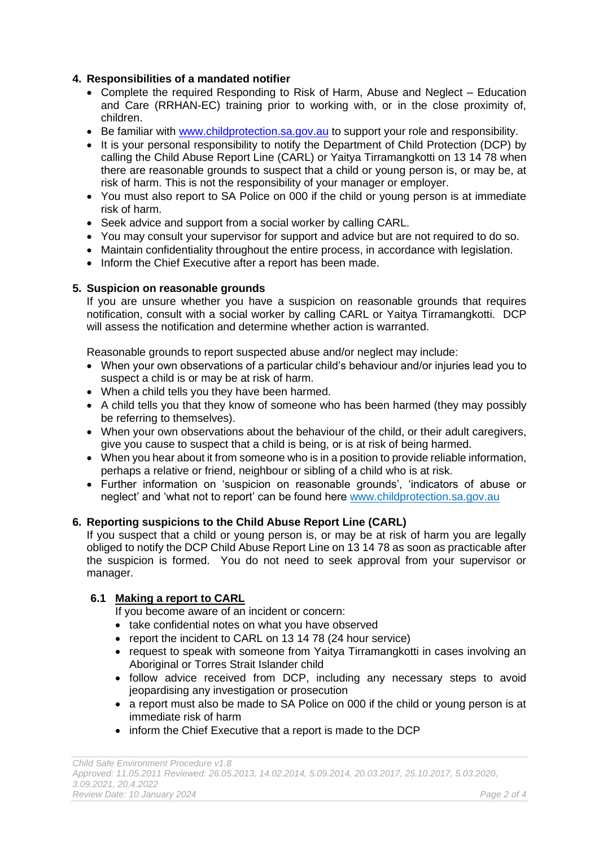# **4. Responsibilities of a mandated notifier**

- Complete the required Responding to Risk of Harm, Abuse and Neglect Education and Care (RRHAN-EC) training prior to working with, or in the close proximity of, children.
- Be familiar with [www.childprotection.sa.gov.au](about:blank) to support your role and responsibility.
- It is your personal responsibility to notify the Department of Child Protection (DCP) by calling the Child Abuse Report Line (CARL) or Yaitya Tirramangkotti on 13 14 78 when there are reasonable grounds to suspect that a child or young person is, or may be, at risk of harm. This is not the responsibility of your manager or employer.
- You must also report to SA Police on 000 if the child or young person is at immediate risk of harm.
- Seek advice and support from a social worker by calling CARL.
- You may consult your supervisor for support and advice but are not required to do so.
- Maintain confidentiality throughout the entire process, in accordance with legislation.
- Inform the Chief Executive after a report has been made.

# **5. Suspicion on reasonable grounds**

If you are unsure whether you have a suspicion on reasonable grounds that requires notification, consult with a social worker by calling CARL or Yaitya Tirramangkotti. DCP will assess the notification and determine whether action is warranted.

Reasonable grounds to report suspected abuse and/or neglect may include:

- When your own observations of a particular child's behaviour and/or injuries lead you to suspect a child is or may be at risk of harm.
- When a child tells you they have been harmed.
- A child tells you that they know of someone who has been harmed (they may possibly be referring to themselves).
- When your own observations about the behaviour of the child, or their adult caregivers, give you cause to suspect that a child is being, or is at risk of being harmed.
- When you hear about it from someone who is in a position to provide reliable information, perhaps a relative or friend, neighbour or sibling of a child who is at risk.
- Further information on 'suspicion on reasonable grounds', 'indicators of abuse or neglect' and 'what not to report' can be found here [www.childprotection.sa.gov.au](about:blank)

# **6. Reporting suspicions to the Child Abuse Report Line (CARL)**

If you suspect that a child or young person is, or may be at risk of harm you are legally obliged to notify the DCP Child Abuse Report Line on 13 14 78 as soon as practicable after the suspicion is formed. You do not need to seek approval from your supervisor or manager.

# **6.1 Making a report to CARL**

If you become aware of an incident or concern:

- take confidential notes on what you have observed
- report the incident to CARL on 13 14 78 (24 hour service)
- request to speak with someone from Yaitya Tirramangkotti in cases involving an Aboriginal or Torres Strait Islander child
- follow advice received from DCP, including any necessary steps to avoid jeopardising any investigation or prosecution
- a report must also be made to SA Police on 000 if the child or young person is at immediate risk of harm
- inform the Chief Executive that a report is made to the DCP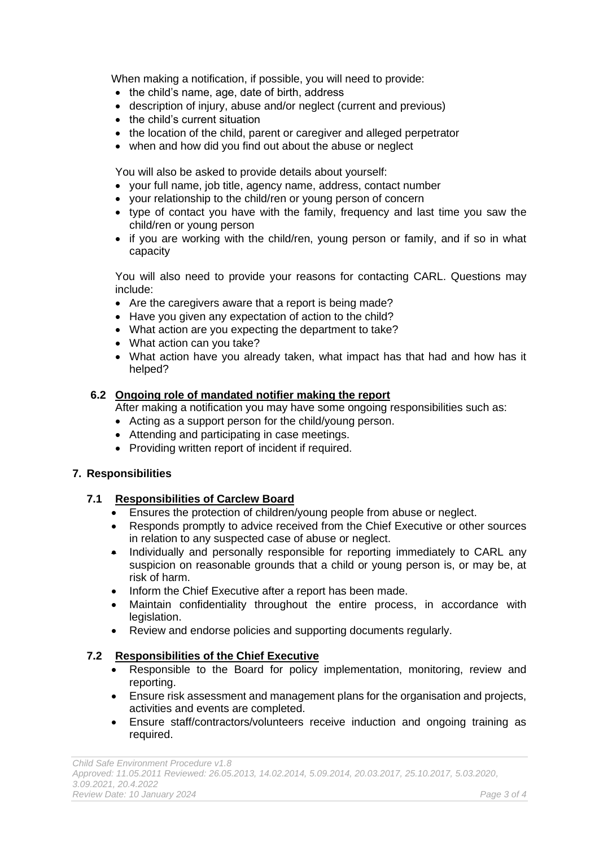When making a notification, if possible, you will need to provide:

- the child's name, age, date of birth, address
- description of injury, abuse and/or neglect (current and previous)
- the child's current situation
- the location of the child, parent or caregiver and alleged perpetrator
- when and how did you find out about the abuse or neglect

You will also be asked to provide details about yourself:

- your full name, job title, agency name, address, contact number
- your relationship to the child/ren or young person of concern
- type of contact you have with the family, frequency and last time you saw the child/ren or young person
- if you are working with the child/ren, young person or family, and if so in what capacity

You will also need to provide your reasons for contacting CARL. Questions may include:

- Are the caregivers aware that a report is being made?
- Have you given any expectation of action to the child?
- What action are you expecting the department to take?
- What action can you take?
- What action have you already taken, what impact has that had and how has it helped?

# **6.2 Ongoing role of mandated notifier making the report**

After making a notification you may have some ongoing responsibilities such as:

- Acting as a support person for the child/young person.
- Attending and participating in case meetings.
- Providing written report of incident if required.

# **7. Responsibilities**

# **7.1 Responsibilities of Carclew Board**

- Ensures the protection of children/young people from abuse or neglect.
- Responds promptly to advice received from the Chief Executive or other sources in relation to any suspected case of abuse or neglect.
- Individually and personally responsible for reporting immediately to CARL any suspicion on reasonable grounds that a child or young person is, or may be, at risk of harm.
- Inform the Chief Executive after a report has been made.
- Maintain confidentiality throughout the entire process, in accordance with legislation.
- Review and endorse policies and supporting documents regularly.

# **7.2 Responsibilities of the Chief Executive**

- Responsible to the Board for policy implementation, monitoring, review and reporting.
- Ensure risk assessment and management plans for the organisation and projects, activities and events are completed.
- Ensure staff/contractors/volunteers receive induction and ongoing training as required.